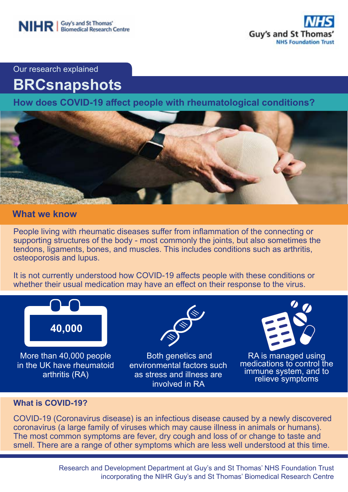

Our research explained

# **BRCsnapshots**

**How does COVID-19 affect people with rheumatological conditions?**



### **What we know**

People living with rheumatic diseases suffer from inflammation of the connecting or supporting structures of the body - most commonly the joints, but also sometimes the tendons, ligaments, bones, and muscles. This includes conditions such as arthritis, osteoporosis and lupus.

It is not currently understood how COVID-19 affects people with these conditions or whether their usual medication may have an effect on their response to the virus.



More than 40,000 people in the UK have rheumatoid arthritis (RA)



 Both genetics and environmental factors such as stress and illness are involved in RA



RA is managed using medications to control the immune system, and to relieve symptoms

#### **What is COVID-19?**

COVID-19 (Coronavirus disease) is an infectious disease caused by a newly discovered coronavirus (a large family of viruses which may cause illness in animals or humans). The most common symptoms are fever, dry cough and loss of or change to taste and smell. There are a range of other symptoms which are less well understood at this time.

> Research and Development Department at Guy's and St Thomas' NHS Foundation Trust incorporating the NIHR Guy's and St Thomas' Biomedical Research Centre